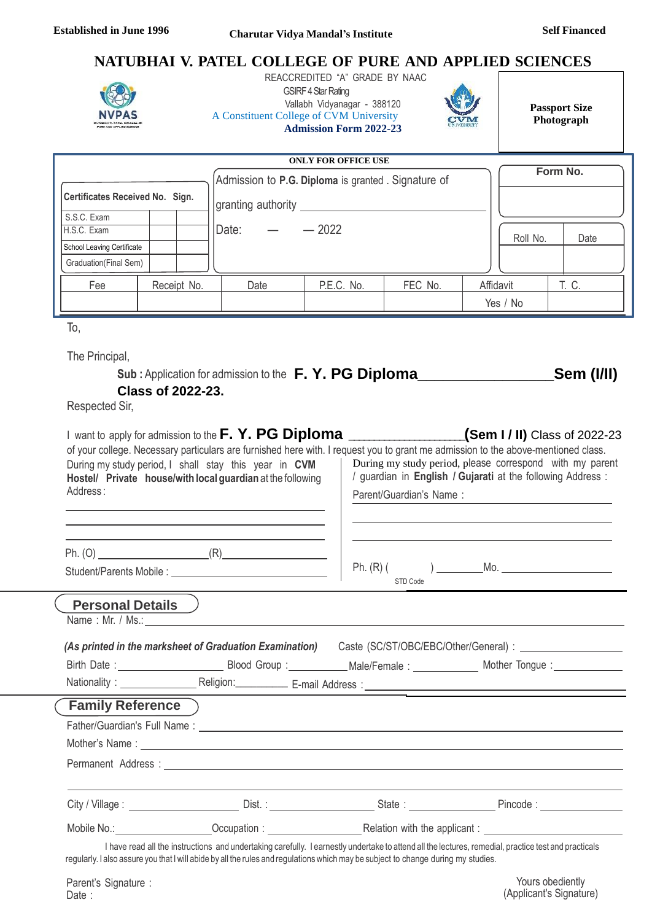# **NATUBHAI V. PATEL COLLEGE OF PURE AND APPLIED SCIENCES**



 REACCREDITED "A" GRADE BY NAAC **GSIRF 4 Star Rating** Vallabh Vidyanagar - 388120 A Constituent College of CVM University **Admission Form 2022-23**



**Passport Size Photograph**

| <b>ONLY FOR OFFICE USE</b>             |  |             |                                                                           |            |         |  |           |       |
|----------------------------------------|--|-------------|---------------------------------------------------------------------------|------------|---------|--|-----------|-------|
| <b>Certificates Received No. Sign.</b> |  |             | Admission to P.G. Diploma is granted . Signature of<br>granting authority |            |         |  | Form No.  |       |
| S.S.C. Exam                            |  |             |                                                                           |            |         |  |           |       |
| H.S.C. Exam                            |  |             | Date:                                                                     | $-2022$    |         |  | Roll No.  | Date  |
| School Leaving Certificate             |  |             |                                                                           |            |         |  |           |       |
| Graduation(Final Sem)                  |  |             |                                                                           |            |         |  |           |       |
| Fee                                    |  | Receipt No. | Date                                                                      | P.E.C. No. | FEC No. |  | Affidavit | T. C. |
|                                        |  |             |                                                                           |            |         |  | Yes / No  |       |

To,

The Principal,

| Sub: Application for admission to the F.Y. PG Diploma |  | _Sem (I/II) |
|-------------------------------------------------------|--|-------------|
| <b>Class of 2022-23.</b>                              |  |             |

Respected Sir,

| Address:                  | During my study period, I shall stay this year in CVM<br>Hostel/ Private house/with local guardian at the following                                                                                                            | (Sem I / II) Class of 2022-23<br>of your college. Necessary particulars are furnished here with. I request you to grant me admission to the above-mentioned class.<br>During my study period, please correspond with my parent<br>/ guardian in English / Gujarati at the following Address:<br>Parent/Guardian's Name: |                                                                                                                                                      |  |  |
|---------------------------|--------------------------------------------------------------------------------------------------------------------------------------------------------------------------------------------------------------------------------|-------------------------------------------------------------------------------------------------------------------------------------------------------------------------------------------------------------------------------------------------------------------------------------------------------------------------|------------------------------------------------------------------------------------------------------------------------------------------------------|--|--|
|                           |                                                                                                                                                                                                                                | STD Code                                                                                                                                                                                                                                                                                                                |                                                                                                                                                      |  |  |
| <b>Personal Details</b> ) | Name: Mr. / Ms.: 1998 - 1999 - 1999 - 1999 - 1999 - 1999 - 1999 - 1999 - 1999 - 1999 - 1999 - 1999 - 1999 - 1                                                                                                                  |                                                                                                                                                                                                                                                                                                                         |                                                                                                                                                      |  |  |
|                           |                                                                                                                                                                                                                                |                                                                                                                                                                                                                                                                                                                         | (As printed in the marksheet of Graduation Examination) Caste (SC/ST/OBC/EBC/Other/General) : _______________                                        |  |  |
|                           |                                                                                                                                                                                                                                |                                                                                                                                                                                                                                                                                                                         | Birth Date: ________________________________Blood Group:_______________Male/Female: ______________________ Mother Tongue: ____________               |  |  |
|                           |                                                                                                                                                                                                                                |                                                                                                                                                                                                                                                                                                                         |                                                                                                                                                      |  |  |
| <b>Family Reference</b> ) |                                                                                                                                                                                                                                |                                                                                                                                                                                                                                                                                                                         |                                                                                                                                                      |  |  |
|                           | Father/Guardian's Full Name: 1999 and 2008 and 2009 and 2009 and 2009 and 2009 and 2009 and 2009 and 2009 and 2009 and 2009 and 2009 and 2009 and 2009 and 2009 and 2009 and 2009 and 2009 and 2009 and 2009 and 2009 and 2009 |                                                                                                                                                                                                                                                                                                                         |                                                                                                                                                      |  |  |
|                           |                                                                                                                                                                                                                                |                                                                                                                                                                                                                                                                                                                         |                                                                                                                                                      |  |  |
|                           |                                                                                                                                                                                                                                |                                                                                                                                                                                                                                                                                                                         |                                                                                                                                                      |  |  |
|                           |                                                                                                                                                                                                                                |                                                                                                                                                                                                                                                                                                                         |                                                                                                                                                      |  |  |
|                           | Mobile No.: Cocupation : Cocupation : Relation with the applicant :                                                                                                                                                            |                                                                                                                                                                                                                                                                                                                         |                                                                                                                                                      |  |  |
|                           | regularly. I also assure you that I will abide by all the rules and regulations which may be subject to change during my studies.                                                                                              |                                                                                                                                                                                                                                                                                                                         | I have read all the instructions and undertaking carefully. I earnestly undertake to attend all the lectures, remedial, practice test and practicals |  |  |
| Parent's Signature :      |                                                                                                                                                                                                                                |                                                                                                                                                                                                                                                                                                                         | Yours obediently                                                                                                                                     |  |  |